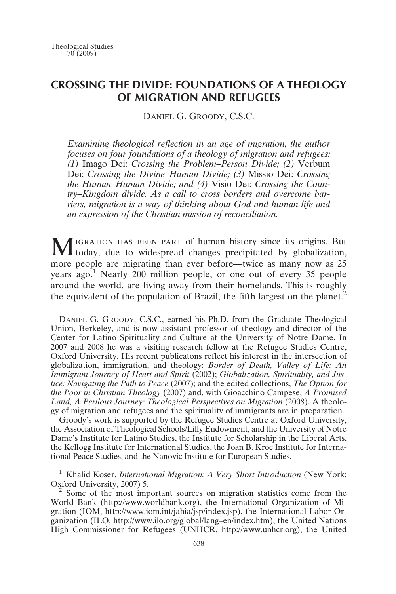# CROSSING THE DIVIDE: FOUNDATIONS OF A THEOLOGY OF MIGRATION AND REFUGEES

DANIEL G. GROODY, C.S.C.

Examining theological reflection in an age of migration, the author focuses on four foundations of a theology of migration and refugees: (1) Imago Dei: Crossing the Problem–Person Divide; (2) Verbum Dei: Crossing the Divine–Human Divide; (3) Missio Dei: Crossing the Human–Human Divide; and (4) Visio Dei: Crossing the Country–Kingdom divide. As a call to cross borders and overcome barriers, migration is a way of thinking about God and human life and an expression of the Christian mission of reconciliation.

MIGRATION HAS BEEN PART of human history since its origins. But<br>today, due to widespread changes precipitated by globalization, more people are migrating than ever before—twice as many now as 25 years ago.<sup>1</sup> Nearly 200 million people, or one out of every 35 people around the world, are living away from their homelands. This is roughly the equivalent of the population of Brazil, the fifth largest on the planet.<sup>2</sup>

DANIEL G. GROODY, C.S.C., earned his Ph.D. from the Graduate Theological Union, Berkeley, and is now assistant professor of theology and director of the Center for Latino Spirituality and Culture at the University of Notre Dame. In 2007 and 2008 he was a visiting research fellow at the Refugee Studies Centre, Oxford University. His recent publicatons reflect his interest in the intersection of globalization, immigration, and theology: Border of Death, Valley of Life: An Immigrant Journey of Heart and Spirit (2002); Globalization, Spirituality, and Justice: Navigating the Path to Peace (2007); and the edited collections, The Option for the Poor in Christian Theology (2007) and, with Gioacchino Campese, A Promised Land, A Perilous Journey: Theological Perspectives on Migration (2008). A theology of migration and refugees and the spirituality of immigrants are in preparation.

Groody's work is supported by the Refugee Studies Centre at Oxford University, the Association of Theological Schools/Lilly Endowment, and the University of Notre Dame's Institute for Latino Studies, the Institute for Scholarship in the Liberal Arts, the Kellogg Institute for International Studies, the Joan B. Kroc Institute for International Peace Studies, and the Nanovic Institute for European Studies.

<sup>1</sup> Khalid Koser, *International Migration: A Very Short Introduction* (New York: Oxford University, 2007) 5.

<sup>2</sup> Some of the most important sources on migration statistics come from the World Bank (http://www.worldbank.org), the International Organization of Migration (IOM, http://www.iom.int/jahia/jsp/index.jsp), the International Labor Organization (ILO, http://www.ilo.org/global/lang–en/index.htm), the United Nations High Commissioner for Refugees (UNHCR, http://www.unhcr.org), the United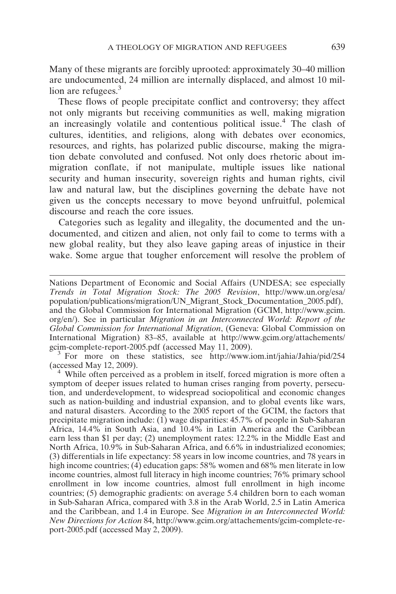Many of these migrants are forcibly uprooted: approximately 30–40 million are undocumented, 24 million are internally displaced, and almost 10 million are refugees. $3$ 

These flows of people precipitate conflict and controversy; they affect not only migrants but receiving communities as well, making migration an increasingly volatile and contentious political issue.<sup>4</sup> The clash of cultures, identities, and religions, along with debates over economics, resources, and rights, has polarized public discourse, making the migration debate convoluted and confused. Not only does rhetoric about immigration conflate, if not manipulate, multiple issues like national security and human insecurity, sovereign rights and human rights, civil law and natural law, but the disciplines governing the debate have not given us the concepts necessary to move beyond unfruitful, polemical discourse and reach the core issues.

Categories such as legality and illegality, the documented and the undocumented, and citizen and alien, not only fail to come to terms with a new global reality, but they also leave gaping areas of injustice in their wake. Some argue that tougher enforcement will resolve the problem of

 $\frac{3}{2}$  For more on these statistics, see http://www.iom.int/jahia/Jahia/pid/254 (accessed May 12, 2009).

 $4$  While often perceived as a problem in itself, forced migration is more often a symptom of deeper issues related to human crises ranging from poverty, persecution, and underdevelopment, to widespread sociopolitical and economic changes such as nation-building and industrial expansion, and to global events like wars, and natural disasters. According to the 2005 report of the GCIM, the factors that precipitate migration include: (1) wage disparities: 45.7% of people in Sub-Saharan Africa, 14.4% in South Asia, and 10.4% in Latin America and the Caribbean earn less than \$1 per day; (2) unemployment rates: 12.2% in the Middle East and North Africa, 10.9% in Sub-Saharan Africa, and 6.6% in industrialized economies; (3) differentials in life expectancy: 58 years in low income countries, and 78 years in high income countries;  $(\hat{4})$  education gaps: 58% women and 68% men literate in low income countries, almost full literacy in high income countries; 76% primary school enrollment in low income countries, almost full enrollment in high income countries; (5) demographic gradients: on average 5.4 children born to each woman in Sub-Saharan Africa, compared with 3.8 in the Arab World, 2.5 in Latin America and the Caribbean, and 1.4 in Europe. See Migration in an Interconnected World: New Directions for Action 84, http://www.gcim.org/attachements/gcim-complete-report-2005.pdf (accessed May 2, 2009).

Nations Department of Economic and Social Affairs (UNDESA; see especially Trends in Total Migration Stock: The 2005 Revision, http://www.un.org/esa/ population/publications/migration/UN\_Migrant\_Stock\_Documentation\_2005.pdf), and the Global Commission for International Migration (GCIM, http://www.gcim. org/en/). See in particular Migration in an Interconnected World: Report of the Global Commission for International Migration, (Geneva: Global Commission on International Migration) 83–85, available at http://www.gcim.org/attachements/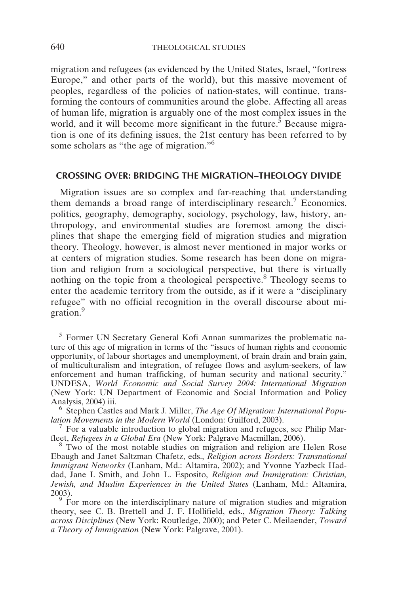migration and refugees (as evidenced by the United States, Israel, "fortress Europe," and other parts of the world), but this massive movement of peoples, regardless of the policies of nation-states, will continue, transforming the contours of communities around the globe. Affecting all areas of human life, migration is arguably one of the most complex issues in the world, and it will become more significant in the future.<sup>5</sup> Because migration is one of its defining issues, the 21st century has been referred to by some scholars as "the age of migration."<sup>6</sup>

### CROSSING OVER: BRIDGING THE MIGRATION–THEOLOGY DIVIDE

Migration issues are so complex and far-reaching that understanding them demands a broad range of interdisciplinary research.<sup>7</sup> Economics, politics, geography, demography, sociology, psychology, law, history, anthropology, and environmental studies are foremost among the disciplines that shape the emerging field of migration studies and migration theory. Theology, however, is almost never mentioned in major works or at centers of migration studies. Some research has been done on migration and religion from a sociological perspective, but there is virtually nothing on the topic from a theological perspective.8 Theology seems to enter the academic territory from the outside, as if it were a "disciplinary refugee" with no official recognition in the overall discourse about migration.<sup>9</sup>

<sup>5</sup> Former UN Secretary General Kofi Annan summarizes the problematic nature of this age of migration in terms of the "issues of human rights and economic opportunity, of labour shortages and unemployment, of brain drain and brain gain, of multiculturalism and integration, of refugee flows and asylum-seekers, of law enforcement and human trafficking, of human security and national security." UNDESA, World Economic and Social Survey 2004: International Migration (New York: UN Department of Economic and Social Information and Policy

 $^6$  Stephen Castles and Mark J. Miller, *The Age Of Migration: International Population Movements in the Modern World* (London: Guilford, 2003).

<sup>7</sup> For a valuable introduction to global migration and refugees, see Philip Mar-fleet, *Refugees in a Global Era* (New York: Palgrave Macmillan, 2006).

 $8$  Two of the most notable studies on migration and religion are Helen Rose Ebaugh and Janet Saltzman Chafetz, eds., Religion across Borders: Transnational Immigrant Networks (Lanham, Md.: Altamira, 2002); and Yvonne Yazbeck Haddad, Jane I. Smith, and John L. Esposito, Religion and Immigration: Christian, Jewish, and Muslim Experiences in the United States (Lanham, Md.: Altamira, 2003).<br><sup>9</sup> For more on the interdisciplinary nature of migration studies and migration

theory, see C. B. Brettell and J. F. Hollifield, eds., Migration Theory: Talking across Disciplines (New York: Routledge, 2000); and Peter C. Meilaender, Toward a Theory of Immigration (New York: Palgrave, 2001).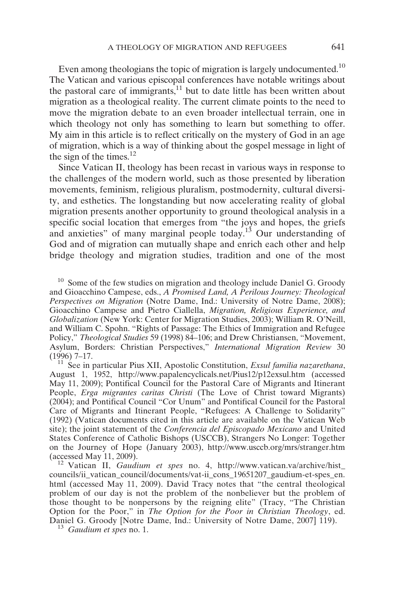Even among theologians the topic of migration is largely undocumented.<sup>10</sup> The Vatican and various episcopal conferences have notable writings about the pastoral care of immigrants, $11$  but to date little has been written about migration as a theological reality. The current climate points to the need to move the migration debate to an even broader intellectual terrain, one in which theology not only has something to learn but something to offer. My aim in this article is to reflect critically on the mystery of God in an age of migration, which is a way of thinking about the gospel message in light of the sign of the times. $12$ 

Since Vatican II, theology has been recast in various ways in response to the challenges of the modern world, such as those presented by liberation movements, feminism, religious pluralism, postmodernity, cultural diversity, and esthetics. The longstanding but now accelerating reality of global migration presents another opportunity to ground theological analysis in a specific social location that emerges from "the joys and hopes, the griefs and anxieties" of many marginal people today.<sup>13</sup> Our understanding of God and of migration can mutually shape and enrich each other and help bridge theology and migration studies, tradition and one of the most

<sup>10</sup> Some of the few studies on migration and theology include Daniel G. Groody and Gioacchino Campese, eds., A Promised Land, A Perilous Journey: Theological Perspectives on Migration (Notre Dame, Ind.: University of Notre Dame, 2008); Gioacchino Campese and Pietro Ciallella, Migration, Religious Experience, and Globalization (New York: Center for Migration Studies, 2003); William R. O'Neill, and William C. Spohn. "Rights of Passage: The Ethics of Immigration and Refugee Policy," Theological Studies 59 (1998) 84–106; and Drew Christiansen, "Movement, Asylum, Borders: Christian Perspectives," *International Migration Review* 30 (1996) 7–17.

 $^{11}$  See in particular Pius XII, Apostolic Constitution, Exsul familia nazarethana, August 1, 1952, http://www.papalencyclicals.net/Pius12/p12exsul.htm (accessed May 11, 2009); Pontifical Council for the Pastoral Care of Migrants and Itinerant People, *Erga migrantes caritas Christi* (The Love of Christ toward Migrants) (2004); and Pontifical Council "Cor Unum" and Pontifical Council for the Pastoral Care of Migrants and Itinerant People, "Refugees: A Challenge to Solidarity" (1992) (Vatican documents cited in this article are available on the Vatican Web site); the joint statement of the Conferencia del Episcopado Mexicano and United States Conference of Catholic Bishops (USCCB), Strangers No Longer: Together on the Journey of Hope (January 2003), http://www.usccb.org/mrs/stranger.htm

 $\frac{12}{12}$  Vatican II, *Gaudium et spes* no. 4, http://www.vatican.va/archive/hist\_ councils/ii\_vatican\_council/documents/vat-ii\_cons\_19651207\_gaudium-et-spes\_en. html (accessed May 11, 2009). David Tracy notes that "the central theological problem of our day is not the problem of the nonbeliever but the problem of those thought to be nonpersons by the reigning elite" (Tracy, "The Christian Option for the Poor," in The Option for the Poor in Christian Theology, ed. Daniel G. Groody [Notre Dame, Ind.: University of Notre Dame, 2007] 119).<br><sup>13</sup> Gaudium et spes no. 1.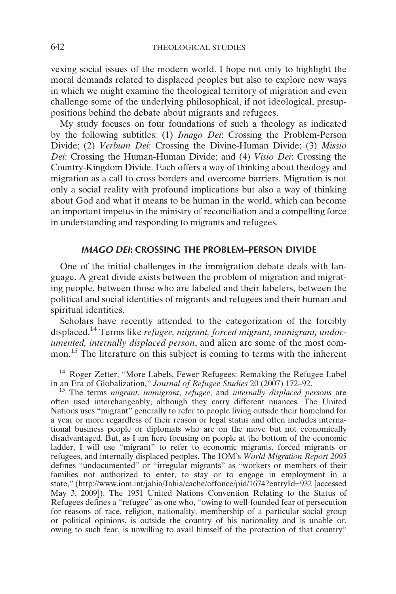vexing social issues of the modern world. I hope not only to highlight the moral demands related to displaced peoples but also to explore new ways in which we might examine the theological territory of migration and even challenge some of the underlying philosophical, if not ideological, presuppositions behind the debate about migrants and refugees.

My study focuses on four foundations of such a theology as indicated by the following subtitles: (1) Imago Dei: Crossing the Problem-Person Divide; (2) Verbum Dei: Crossing the Divine-Human Divide; (3) Missio Dei: Crossing the Human-Human Divide; and (4) Visio Dei: Crossing the Country-Kingdom Divide. Each offers a way of thinking about theology and migration as a call to cross borders and overcome barriers. Migration is not only a social reality with profound implications but also a way of thinking about God and what it means to be human in the world, which can become an important impetus in the ministry of reconciliation and a compelling force in understanding and responding to migrants and refugees.

## IMAGO DEI: CROSSING THE PROBLEM–PERSON DIVIDE

One of the initial challenges in the immigration debate deals with language. A great divide exists between the problem of migration and migrating people, between those who are labeled and their labelers, between the political and social identities of migrants and refugees and their human and spiritual identities.

Scholars have recently attended to the categorization of the forcibly displaced.<sup>14</sup> Terms like refugee, migrant, forced migrant, immigrant, undocumented, internally displaced person, and alien are some of the most common.<sup>15</sup> The literature on this subject is coming to terms with the inherent

<sup>14</sup> Roger Zetter, "More Labels, Fewer Refugees: Remaking the Refugee Label in an Era of Globalization," *Journal of Refugee Studies* 20 (2007) 172–92.

 $\frac{15}{15}$  The terms migrant, immigrant, refugee, and internally displaced persons are often used interchangeably, although they carry different nuances. The United Nations uses "migrant" generally to refer to people living outside their homeland for a year or more regardless of their reason or legal status and often includes international business people or diplomats who are on the move but not economically disadvantaged. But, as I am here focusing on people at the bottom of the economic ladder, I will use "migrant" to refer to economic migrants, forced migrants or refugees, and internally displaced peoples. The IOM's World Migration Report 2005 defines "undocumented" or "irregular migrants" as "workers or members of their families not authorized to enter, to stay or to engage in employment in a state," (http://www.iom.int/jahia/Jahia/cache/offonce/pid/1674?entryId=932 [accessed May 3, 2009]). The 1951 United Nations Convention Relating to the Status of Refugees defines a "refugee" as one who, "owing to well-founded fear of persecution for reasons of race, religion, nationality, membership of a particular social group or political opinions, is outside the country of his nationality and is unable or, owing to such fear, is unwilling to avail himself of the protection of that country"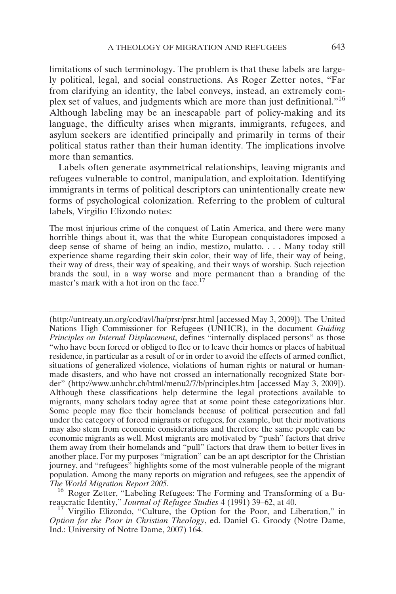limitations of such terminology. The problem is that these labels are largely political, legal, and social constructions. As Roger Zetter notes, "Far from clarifying an identity, the label conveys, instead, an extremely complex set of values, and judgments which are more than just definitional."<sup>16</sup> Although labeling may be an inescapable part of policy-making and its language, the difficulty arises when migrants, immigrants, refugees, and asylum seekers are identified principally and primarily in terms of their political status rather than their human identity. The implications involve more than semantics.

Labels often generate asymmetrical relationships, leaving migrants and refugees vulnerable to control, manipulation, and exploitation. Identifying immigrants in terms of political descriptors can unintentionally create new forms of psychological colonization. Referring to the problem of cultural labels, Virgilio Elizondo notes:

The most injurious crime of the conquest of Latin America, and there were many horrible things about it, was that the white European conquistadores imposed a deep sense of shame of being an indio, mestizo, mulatto. . . . Many today still experience shame regarding their skin color, their way of life, their way of being, their way of dress, their way of speaking, and their ways of worship. Such rejection brands the soul, in a way worse and more permanent than a branding of the master's mark with a hot iron on the face.<sup>17</sup>

(http://untreaty.un.org/cod/avl/ha/prsr/prsr.html [accessed May 3, 2009]). The United Nations High Commissioner for Refugees (UNHCR), in the document Guiding Principles on Internal Displacement, defines "internally displaced persons" as those "who have been forced or obliged to flee or to leave their homes or places of habitual residence, in particular as a result of or in order to avoid the effects of armed conflict, situations of generalized violence, violations of human rights or natural or humanmade disasters, and who have not crossed an internationally recognized State border" (http://www.unhchr.ch/html/menu2/7/b/principles.htm [accessed May 3, 2009]). Although these classifications help determine the legal protections available to migrants, many scholars today agree that at some point these categorizations blur. Some people may flee their homelands because of political persecution and fall under the category of forced migrants or refugees, for example, but their motivations may also stem from economic considerations and therefore the same people can be economic migrants as well. Most migrants are motivated by "push" factors that drive them away from their homelands and "pull" factors that draw them to better lives in another place. For my purposes "migration" can be an apt descriptor for the Christian journey, and "refugees" highlights some of the most vulnerable people of the migrant population. Among the many reports on migration and refugees, see the appendix of *The World Migration Report 2005*.

<sup>16</sup> Roger Zetter, "Labeling Refugees: The Forming and Transforming of a Bureaucratic Identity," Journal of Refugee Studies 4 (1991) 39–62, at 40.<br><sup>17</sup> Virgilio Elizondo, "Culture, the Option for the Poor, and Liberation," in

Option for the Poor in Christian Theology, ed. Daniel G. Groody (Notre Dame, Ind.: University of Notre Dame, 2007) 164.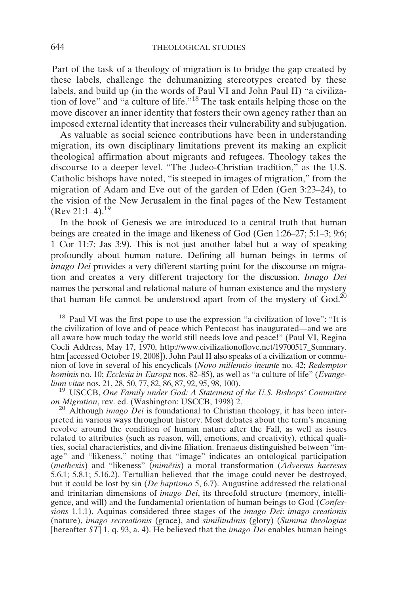Part of the task of a theology of migration is to bridge the gap created by these labels, challenge the dehumanizing stereotypes created by these labels, and build up (in the words of Paul VI and John Paul II) "a civilization of love" and "a culture of life."<sup>18</sup> The task entails helping those on the move discover an inner identity that fosters their own agency rather than an imposed external identity that increases their vulnerability and subjugation.

As valuable as social science contributions have been in understanding migration, its own disciplinary limitations prevent its making an explicit theological affirmation about migrants and refugees. Theology takes the discourse to a deeper level. "The Judeo-Christian tradition," as the U.S. Catholic bishops have noted, "is steeped in images of migration," from the migration of Adam and Eve out of the garden of Eden (Gen 3:23–24), to the vision of the New Jerusalem in the final pages of the New Testament  $($ Rev 21:1–4).<sup>19</sup>

In the book of Genesis we are introduced to a central truth that human beings are created in the image and likeness of God (Gen 1:26–27; 5:1–3; 9:6; 1 Cor 11:7; Jas 3:9). This is not just another label but a way of speaking profoundly about human nature. Defining all human beings in terms of imago Dei provides a very different starting point for the discourse on migration and creates a very different trajectory for the discussion. Imago Dei names the personal and relational nature of human existence and the mystery that human life cannot be understood apart from of the mystery of  $\text{God.}^{20}$ 

 $18$  Paul VI was the first pope to use the expression "a civilization of love": "It is the civilization of love and of peace which Pentecost has inaugurated—and we are all aware how much today the world still needs love and peace!" (Paul VI, Regina Coeli Address, May 17, 1970, http://www.civilizationoflove.net/19700517\_Summary. htm [accessed October 19, 2008]). John Paul II also speaks of a civilization or communion of love in several of his encyclicals (Novo millennio ineunte no. 42; Redemptor hominis no. 10; *Ecclesia in Europa* nos. 82–85), as well as "a culture of life" (*Evange-*<br>lium vitae nos. 21, 28, 50, 77, 82, 86, 87, 92, 95, 98, 100).

 $19$  USCCB, One Family under God: A Statement of the U.S. Bishops' Committee on Migration, rev. ed. (Washington: USCCB, 1998) 2.<br><sup>20</sup> Although *imago Dei* is foundational to Christian theology, it has been inter-

preted in various ways throughout history. Most debates about the term's meaning revolve around the condition of human nature after the Fall, as well as issues related to attributes (such as reason, will, emotions, and creativity), ethical qualities, social characteristics, and divine filiation. Irenaeus distinguished between "image" and "likeness," noting that "image" indicates an ontological participation (methexis) and "likeness" (mimêsis) a moral transformation (Adversus haereses 5.6.1; 5.8.1; 5.16.2). Tertullian believed that the image could never be destroyed, but it could be lost by sin (De baptismo 5, 6.7). Augustine addressed the relational and trinitarian dimensions of imago Dei, its threefold structure (memory, intelligence, and will) and the fundamental orientation of human beings to God (Confessions 1.1.1). Aquinas considered three stages of the *imago Dei: imago creationis* (nature), imago recreationis (grace), and similitudinis (glory) (Summa theologiae [hereafter  $ST$ ] 1, q. 93, a. 4). He believed that the *imago Dei* enables human beings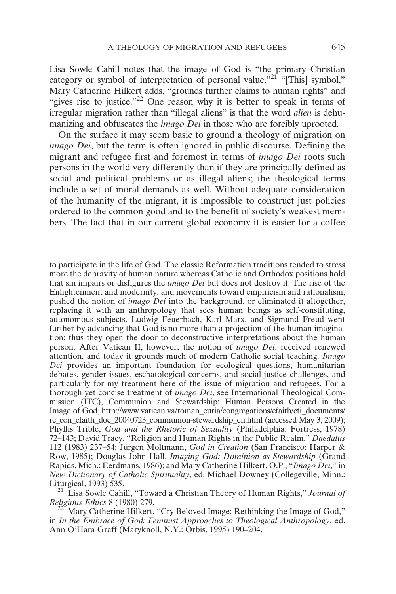Lisa Sowle Cahill notes that the image of God is "the primary Christian category or symbol of interpretation of personal value."<sup>21</sup> "[This] symbol," Mary Catherine Hilkert adds, "grounds further claims to human rights" and "gives rise to justice."<sup>22</sup> One reason why it is better to speak in terms of irregular migration rather than "illegal aliens" is that the word alien is dehumanizing and obfuscates the *imago Dei* in those who are forcibly uprooted.

On the surface it may seem basic to ground a theology of migration on imago Dei, but the term is often ignored in public discourse. Defining the migrant and refugee first and foremost in terms of *imago Dei* roots such persons in the world very differently than if they are principally defined as social and political problems or as illegal aliens; the theological terms include a set of moral demands as well. Without adequate consideration of the humanity of the migrant, it is impossible to construct just policies ordered to the common good and to the benefit of society's weakest members. The fact that in our current global economy it is easier for a coffee

to participate in the life of God. The classic Reformation traditions tended to stress more the depravity of human nature whereas Catholic and Orthodox positions hold that sin impairs or disfigures the imago Dei but does not destroy it. The rise of the Enlightenment and modernity, and movements toward empiricism and rationalism, pushed the notion of *imago Dei* into the background, or eliminated it altogether, replacing it with an anthropology that sees human beings as self-constituting, autonomous subjects. Ludwig Feuerbach, Karl Marx, and Sigmund Freud went further by advancing that God is no more than a projection of the human imagination; thus they open the door to deconstructive interpretations about the human person. After Vatican II, however, the notion of imago Dei, received renewed attention, and today it grounds much of modern Catholic social teaching. Imago Dei provides an important foundation for ecological questions, humanitarian debates, gender issues, eschatological concerns, and social-justice challenges, and particularly for my treatment here of the issue of migration and refugees. For a thorough yet concise treatment of imago Dei, see International Theological Commission (ITC), Communion and Stewardship: Human Persons Created in the Image of God, http://www.vatican.va/roman\_curia/congregations/cfaith/cti\_documents/ rc\_con\_cfaith\_doc\_20040723\_communion-stewardship\_en.html (accessed May 3, 2009); Phyllis Trible, God and the Rhetoric of Sexuality (Philadelphia: Fortress, 1978) 72–143; David Tracy, "Religion and Human Rights in the Public Realm," Daedalus 112 (1983) 237–54; Jürgen Moltmann, God in Creation (San Francisco: Harper & Row, 1985); Douglas John Hall, Imaging God: Dominion as Stewardship (Grand Rapids, Mich.: Eerdmans, 1986); and Mary Catherine Hilkert, O.P., "Imago Dei," in New Dictionary of Catholic Spirituality, ed. Michael Downey (Collegeville, Minn.: Liturgical, 1993) 535.

<sup>21</sup> Lisa Sowle Cahill, "Toward a Christian Theory of Human Rights," *Journal of Religious Ethics* 8 (1980) 279.

 $22^{\circ}$  Mary Catherine Hilkert, "Cry Beloved Image: Rethinking the Image of God," in In the Embrace of God: Feminist Approaches to Theological Anthropology, ed. Ann O'Hara Graff (Maryknoll, N.Y.: Orbis, 1995) 190–204.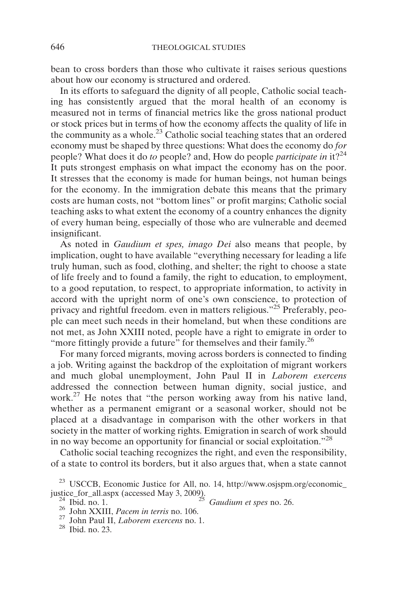bean to cross borders than those who cultivate it raises serious questions about how our economy is structured and ordered.

In its efforts to safeguard the dignity of all people, Catholic social teaching has consistently argued that the moral health of an economy is measured not in terms of financial metrics like the gross national product or stock prices but in terms of how the economy affects the quality of life in the community as a whole.<sup>23</sup> Catholic social teaching states that an ordered economy must be shaped by three questions: What does the economy do for people? What does it do to people? and, How do people *participate* in it?<sup>24</sup> It puts strongest emphasis on what impact the economy has on the poor. It stresses that the economy is made for human beings, not human beings for the economy. In the immigration debate this means that the primary costs are human costs, not "bottom lines" or profit margins; Catholic social teaching asks to what extent the economy of a country enhances the dignity of every human being, especially of those who are vulnerable and deemed insignificant.

As noted in Gaudium et spes, imago Dei also means that people, by implication, ought to have available "everything necessary for leading a life truly human, such as food, clothing, and shelter; the right to choose a state of life freely and to found a family, the right to education, to employment, to a good reputation, to respect, to appropriate information, to activity in accord with the upright norm of one's own conscience, to protection of privacy and rightful freedom. even in matters religious."<sup>25</sup> Preferably, people can meet such needs in their homeland, but when these conditions are not met, as John XXIII noted, people have a right to emigrate in order to "more fittingly provide a future" for themselves and their family.<sup>26</sup>

For many forced migrants, moving across borders is connected to finding a job. Writing against the backdrop of the exploitation of migrant workers and much global unemployment, John Paul II in Laborem exercens addressed the connection between human dignity, social justice, and work.<sup>27</sup> He notes that "the person working away from his native land, whether as a permanent emigrant or a seasonal worker, should not be placed at a disadvantage in comparison with the other workers in that society in the matter of working rights. Emigration in search of work should in no way become an opportunity for financial or social exploitation."<sup>28</sup>

Catholic social teaching recognizes the right, and even the responsibility, of a state to control its borders, but it also argues that, when a state cannot

<sup>&</sup>lt;sup>23</sup> USCCB, Economic Justice for All, no. 14, http://www.osjspm.org/economic\_ <sup>23</sup> USCCB, Economic Justice  $\frac{1}{24}$  ibid. no. 1. <sup>25</sup> Gaudium et spes no. 26. <sup>26</sup> John XXIII, *Pacem in terris* no. 106. <sup>27</sup> John Paul II, *Laborem exercens* no. 1. <sup>28</sup> Ibid. no. 23.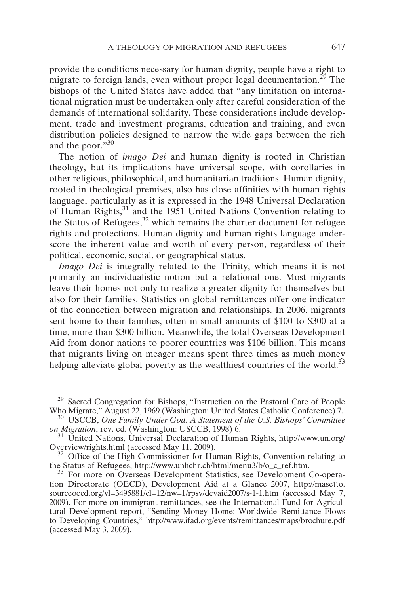provide the conditions necessary for human dignity, people have a right to migrate to foreign lands, even without proper legal documentation.<sup>29</sup> The bishops of the United States have added that "any limitation on international migration must be undertaken only after careful consideration of the demands of international solidarity. These considerations include development, trade and investment programs, education and training, and even distribution policies designed to narrow the wide gaps between the rich and the poor."30

The notion of *imago Dei* and human dignity is rooted in Christian theology, but its implications have universal scope, with corollaries in other religious, philosophical, and humanitarian traditions. Human dignity, rooted in theological premises, also has close affinities with human rights language, particularly as it is expressed in the 1948 Universal Declaration of Human Rights,<sup>31</sup> and the 1951 United Nations Convention relating to the Status of Refugees, $32$  which remains the charter document for refugee rights and protections. Human dignity and human rights language underscore the inherent value and worth of every person, regardless of their political, economic, social, or geographical status.

Imago Dei is integrally related to the Trinity, which means it is not primarily an individualistic notion but a relational one. Most migrants leave their homes not only to realize a greater dignity for themselves but also for their families. Statistics on global remittances offer one indicator of the connection between migration and relationships. In 2006, migrants sent home to their families, often in small amounts of \$100 to \$300 at a time, more than \$300 billion. Meanwhile, the total Overseas Development Aid from donor nations to poorer countries was \$106 billion. This means that migrants living on meager means spent three times as much money helping alleviate global poverty as the wealthiest countries of the world.<sup>33</sup>

<sup>29</sup> Sacred Congregation for Bishops, "Instruction on the Pastoral Care of People Who Migrate," August 22, 1969 (Washington: United States Catholic Conference) 7.

<sup>30</sup> USCCB, One Family Under God: A Statement of the U.S. Bishops' Committee on Migration, rev. ed. (Washington: USCCB, 1998) 6.

<sup>31</sup> United Nations, Universal Declaration of Human Rights, http://www.un.org/<br>Overview/rights.html (accessed May 11, 2009).

<sup>32</sup> Office of the High Commissioner for Human Rights, Convention relating to the Status of Refugees, http://www.unhchr.ch/html/menu3/b/o\_c\_ref.htm.

<sup>33</sup> For more on Overseas Development Statistics, see Development Co-operation Directorate (OECD), Development Aid at a Glance 2007, http://masetto. sourceoecd.org/vl=3495881/cl=12/nw=1/rpsv/devaid2007/s-1-1.htm (accessed May 7, 2009). For more on immigrant remittances, see the International Fund for Agricultural Development report, "Sending Money Home: Worldwide Remittance Flows to Developing Countries," http://www.ifad.org/events/remittances/maps/brochure.pdf (accessed May 3, 2009).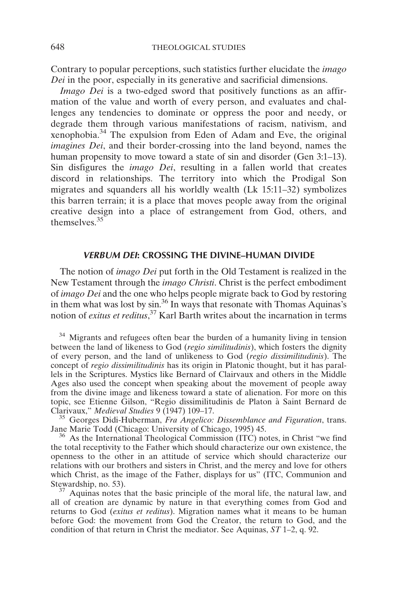Contrary to popular perceptions, such statistics further elucidate the imago Dei in the poor, especially in its generative and sacrificial dimensions.

Imago Dei is a two-edged sword that positively functions as an affirmation of the value and worth of every person, and evaluates and challenges any tendencies to dominate or oppress the poor and needy, or degrade them through various manifestations of racism, nativism, and xenophobia. $34$  The expulsion from Eden of Adam and Eve, the original imagines Dei, and their border-crossing into the land beyond, names the human propensity to move toward a state of sin and disorder (Gen 3:1–13). Sin disfigures the imago Dei, resulting in a fallen world that creates discord in relationships. The territory into which the Prodigal Son migrates and squanders all his worldly wealth (Lk 15:11–32) symbolizes this barren terrain; it is a place that moves people away from the original creative design into a place of estrangement from God, others, and themselves<sup>35</sup>

### VERBUM DEI: CROSSING THE DIVINE–HUMAN DIVIDE

The notion of *imago Dei* put forth in the Old Testament is realized in the New Testament through the imago Christi. Christ is the perfect embodiment of imago Dei and the one who helps people migrate back to God by restoring in them what was lost by  $\sin^{36}$  In ways that resonate with Thomas Aquinas's notion of exitus et reditus,<sup>37</sup> Karl Barth writes about the incarnation in terms

<sup>34</sup> Migrants and refugees often bear the burden of a humanity living in tension between the land of likeness to God (regio similitudinis), which fosters the dignity of every person, and the land of unlikeness to God (regio dissimilitudinis). The concept of regio dissimilitudinis has its origin in Platonic thought, but it has parallels in the Scriptures. Mystics like Bernard of Clairvaux and others in the Middle Ages also used the concept when speaking about the movement of people away from the divine image and likeness toward a state of alienation. For more on this topic, see Etienne Gilson, "Regio dissimilitudinis de Platon à Saint Bernard de Clarivaux," Medieval Studies 9 (1947) 109-17.

<sup>35</sup> Georges Didi-Huberman, *Fra Angelico: Dissemblance and Figuration*, trans.<br>Jane Marie Todd (Chicago: University of Chicago, 1995) 45.

<sup>36</sup> As the International Theological Commission (ITC) notes, in Christ "we find the total receptivity to the Father which should characterize our own existence, the openness to the other in an attitude of service which should characterize our relations with our brothers and sisters in Christ, and the mercy and love for others which Christ, as the image of the Father, displays for us" (ITC, Communion and Stewardship, no. 53).  $\frac{37}{37}$  Aquinas notes that the basic principle of the moral life, the natural law, and

all of creation are dynamic by nature in that everything comes from God and returns to God (exitus et reditus). Migration names what it means to be human before God: the movement from God the Creator, the return to God, and the condition of that return in Christ the mediator. See Aquinas, ST 1–2, q. 92.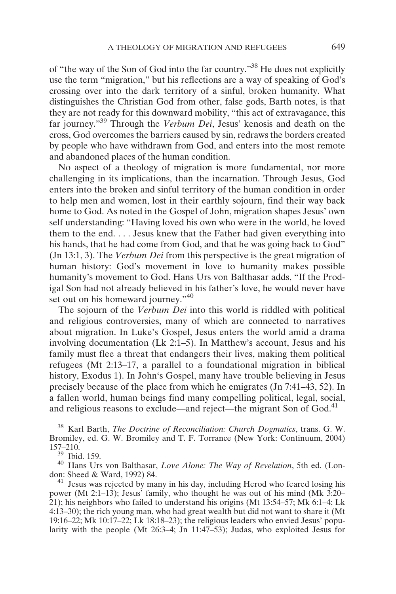of "the way of the Son of God into the far country."38 He does not explicitly use the term "migration," but his reflections are a way of speaking of God's crossing over into the dark territory of a sinful, broken humanity. What distinguishes the Christian God from other, false gods, Barth notes, is that they are not ready for this downward mobility, "this act of extravagance, this far journey."39 Through the Verbum Dei, Jesus' kenosis and death on the cross, God overcomes the barriers caused by sin, redraws the borders created by people who have withdrawn from God, and enters into the most remote and abandoned places of the human condition.

No aspect of a theology of migration is more fundamental, nor more challenging in its implications, than the incarnation. Through Jesus, God enters into the broken and sinful territory of the human condition in order to help men and women, lost in their earthly sojourn, find their way back home to God. As noted in the Gospel of John, migration shapes Jesus' own self understanding: "Having loved his own who were in the world, he loved them to the end. . . . Jesus knew that the Father had given everything into his hands, that he had come from God, and that he was going back to God" (Jn 13:1, 3). The Verbum Dei from this perspective is the great migration of human history: God's movement in love to humanity makes possible humanity's movement to God. Hans Urs von Balthasar adds, "If the Prodigal Son had not already believed in his father's love, he would never have set out on his homeward journey."<sup>40</sup>

The sojourn of the Verbum Dei into this world is riddled with political and religious controversies, many of which are connected to narratives about migration. In Luke's Gospel, Jesus enters the world amid a drama involving documentation (Lk 2:1–5). In Matthew's account, Jesus and his family must flee a threat that endangers their lives, making them political refugees (Mt 2:13–17, a parallel to a foundational migration in biblical history, Exodus 1). In John's Gospel, many have trouble believing in Jesus precisely because of the place from which he emigrates (Jn 7:41–43, 52). In a fallen world, human beings find many compelling political, legal, social, and religious reasons to exclude—and reject—the migrant Son of God. $^{41}$ 

<sup>38</sup> Karl Barth, *The Doctrine of Reconciliation: Church Dogmatics*, trans. G. W. Bromiley, ed. G. W. Bromiley and T. F. Torrance (New York: Continuum, 2004)

<sup>157–210.</sup> <sup>39</sup> Ibid. 159.<br><sup>40</sup> Hans Urs von Balthasar, *Love Alone: The Way of Revelation*, 5th ed. (Lon-<br>don: Sheed & Ward, 1992) 84.

 $41$  Jesus was rejected by many in his day, including Herod who feared losing his power (Mt 2:1–13); Jesus' family, who thought he was out of his mind (Mk 3:20– 21); his neighbors who failed to understand his origins (Mt 13:54–57; Mk 6:1–4; Lk 4:13–30); the rich young man, who had great wealth but did not want to share it (Mt 19:16–22; Mk 10:17–22; Lk 18:18–23); the religious leaders who envied Jesus' popularity with the people (Mt 26:3–4; Jn 11:47–53); Judas, who exploited Jesus for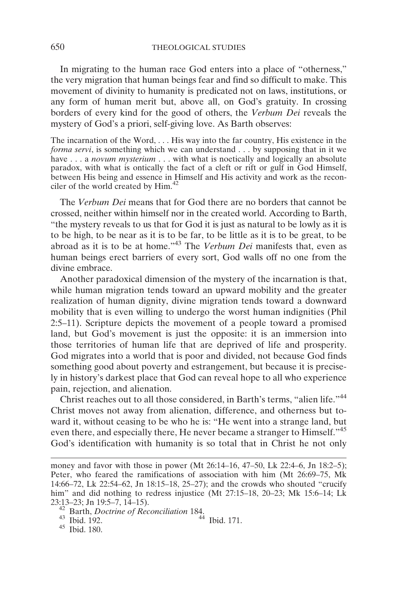In migrating to the human race God enters into a place of "otherness," the very migration that human beings fear and find so difficult to make. This movement of divinity to humanity is predicated not on laws, institutions, or any form of human merit but, above all, on God's gratuity. In crossing borders of every kind for the good of others, the Verbum Dei reveals the mystery of God's a priori, self-giving love. As Barth observes:

The incarnation of the Word, . . . His way into the far country, His existence in the forma servi, is something which we can understand . . . by supposing that in it we have ... a *novum mysterium* ... with what is noetically and logically an absolute paradox, with what is ontically the fact of a cleft or rift or gulf in God Himself, between His being and essence in Himself and His activity and work as the reconciler of the world created by Him.<sup>42</sup>

The Verbum Dei means that for God there are no borders that cannot be crossed, neither within himself nor in the created world. According to Barth, "the mystery reveals to us that for God it is just as natural to be lowly as it is to be high, to be near as it is to be far, to be little as it is to be great, to be abroad as it is to be at home."43 The Verbum Dei manifests that, even as human beings erect barriers of every sort, God walls off no one from the divine embrace.

Another paradoxical dimension of the mystery of the incarnation is that, while human migration tends toward an upward mobility and the greater realization of human dignity, divine migration tends toward a downward mobility that is even willing to undergo the worst human indignities (Phil 2:5–11). Scripture depicts the movement of a people toward a promised land, but God's movement is just the opposite: it is an immersion into those territories of human life that are deprived of life and prosperity. God migrates into a world that is poor and divided, not because God finds something good about poverty and estrangement, but because it is precisely in history's darkest place that God can reveal hope to all who experience pain, rejection, and alienation.

Christ reaches out to all those considered, in Barth's terms, "alien life."<sup>44</sup> Christ moves not away from alienation, difference, and otherness but toward it, without ceasing to be who he is: "He went into a strange land, but even there, and especially there, He never became a stranger to Himself."<sup>45</sup> God's identification with humanity is so total that in Christ he not only

money and favor with those in power (Mt 26:14–16, 47–50, Lk 22:4–6, Jn 18:2–5); Peter, who feared the ramifications of association with him (Mt 26:69–75, Mk 14:66–72, Lk 22:54–62, Jn 18:15–18, 25–27); and the crowds who shouted "crucify him" and did nothing to redress injustice (Mt 27:15–18, 20–23; Mk 15:6–14; Lk 23:13–23; Jn 19:5–7, 14–15).

<sup>&</sup>lt;sup>242</sup> Barth, *Doctrine of Reconciliation* 184.<br><sup>43</sup> Ibid. 192.<br><sup>45</sup> Ibid. 180.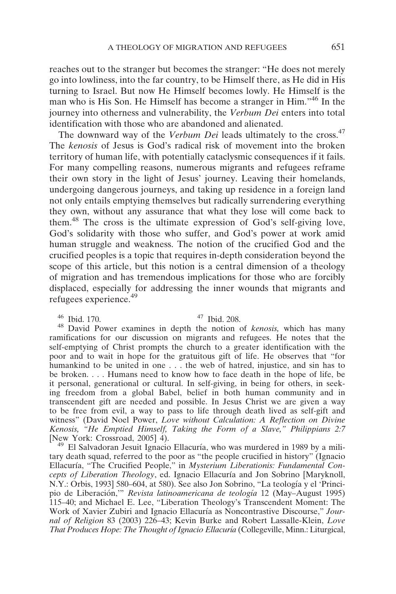reaches out to the stranger but becomes the stranger: "He does not merely go into lowliness, into the far country, to be Himself there, as He did in His turning to Israel. But now He Himself becomes lowly. He Himself is the man who is His Son. He Himself has become a stranger in Him."<sup>46</sup> In the journey into otherness and vulnerability, the Verbum Dei enters into total identification with those who are abandoned and alienated.

The downward way of the *Verbum Dei* leads ultimately to the cross.<sup>47</sup> The kenosis of Jesus is God's radical risk of movement into the broken territory of human life, with potentially cataclysmic consequences if it fails. For many compelling reasons, numerous migrants and refugees reframe their own story in the light of Jesus' journey. Leaving their homelands, undergoing dangerous journeys, and taking up residence in a foreign land not only entails emptying themselves but radically surrendering everything they own, without any assurance that what they lose will come back to them.<sup>48</sup> The cross is the ultimate expression of God's self-giving love, God's solidarity with those who suffer, and God's power at work amid human struggle and weakness. The notion of the crucified God and the crucified peoples is a topic that requires in-depth consideration beyond the scope of this article, but this notion is a central dimension of a theology of migration and has tremendous implications for those who are forcibly displaced, especially for addressing the inner wounds that migrants and refugees experience.<sup>49</sup>

<sup>46</sup> Ibid. 170. <sup>47</sup> Ibid. 208. <sup>47</sup> Ibid. 208. <sup>47</sup> Power examines in depth the notion of *kenosis*, which has many ramifications for our discussion on migrants and refugees. He notes that the self-emptying of Christ prompts the church to a greater identification with the poor and to wait in hope for the gratuitous gift of life. He observes that "for humankind to be united in one . . . the web of hatred, injustice, and sin has to be broken. . . . Humans need to know how to face death in the hope of life, be it personal, generational or cultural. In self-giving, in being for others, in seeking freedom from a global Babel, belief in both human community and in transcendent gift are needed and possible. In Jesus Christ we are given a way to be free from evil, a way to pass to life through death lived as self-gift and witness" (David Noel Power, Love without Calculation: A Reflection on Divine Kenosis, "He Emptied Himself, Taking the Form of a Slave," Philippians 2:7 [New York: Crossroad, 2005] 4).

<sup>49</sup> El Salvadoran Jesuit Ignacio Ellacuría, who was murdered in 1989 by a military death squad, referred to the poor as "the people crucified in history" (Ignacio Ellacuría, "The Crucified People," in Mysterium Liberationis: Fundamental Concepts of Liberation Theology, ed. Ignacio Ellacuría and Jon Sobrino [Maryknoll, N.Y.: Orbis, 1993] 580–604, at 580). See also Jon Sobrino, "La teología y el 'Principio de Liberación," Revista latinoamericana de teología 12 (May–August 1995) 115–40; and Michael E. Lee, "Liberation Theology's Transcendent Moment: The Work of Xavier Zubiri and Ignacio Ellacuría as Noncontrastive Discourse," Journal of Religion 83 (2003) 226–43; Kevin Burke and Robert Lassalle-Klein, Love That Produces Hope: The Thought of Ignacio Ellacuría (Collegeville, Minn.: Liturgical,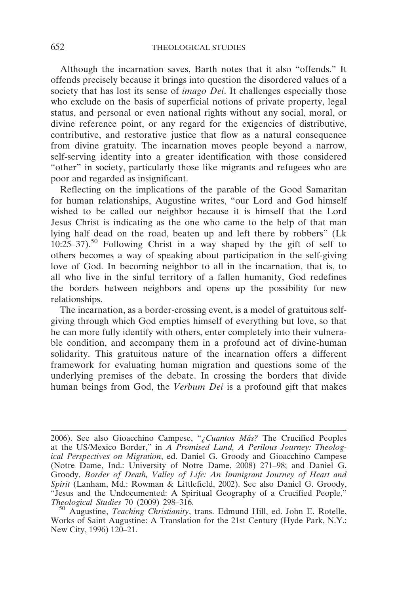Although the incarnation saves, Barth notes that it also "offends." It offends precisely because it brings into question the disordered values of a society that has lost its sense of *imago Dei*. It challenges especially those who exclude on the basis of superficial notions of private property, legal status, and personal or even national rights without any social, moral, or divine reference point, or any regard for the exigencies of distributive, contributive, and restorative justice that flow as a natural consequence from divine gratuity. The incarnation moves people beyond a narrow, self-serving identity into a greater identification with those considered "other" in society, particularly those like migrants and refugees who are poor and regarded as insignificant.

Reflecting on the implications of the parable of the Good Samaritan for human relationships, Augustine writes, "our Lord and God himself wished to be called our neighbor because it is himself that the Lord Jesus Christ is indicating as the one who came to the help of that man lying half dead on the road, beaten up and left there by robbers" (Lk  $10:25-37$ .<sup>50</sup> Following Christ in a way shaped by the gift of self to others becomes a way of speaking about participation in the self-giving love of God. In becoming neighbor to all in the incarnation, that is, to all who live in the sinful territory of a fallen humanity, God redefines the borders between neighbors and opens up the possibility for new relationships.

The incarnation, as a border-crossing event, is a model of gratuitous selfgiving through which God empties himself of everything but love, so that he can more fully identify with others, enter completely into their vulnerable condition, and accompany them in a profound act of divine-human solidarity. This gratuitous nature of the incarnation offers a different framework for evaluating human migration and questions some of the underlying premises of the debate. In crossing the borders that divide human beings from God, the Verbum Dei is a profound gift that makes

<sup>2006).</sup> See also Gioacchino Campese, "¿Cuantos Más? The Crucified Peoples at the US/Mexico Border," in A Promised Land, A Perilous Journey: Theological Perspectives on Migration, ed. Daniel G. Groody and Gioacchino Campese (Notre Dame, Ind.: University of Notre Dame, 2008) 271–98; and Daniel G. Groody, Border of Death, Valley of Life: An Immigrant Journey of Heart and Spirit (Lanham, Md.: Rowman & Littlefield, 2002). See also Daniel G. Groody, "Jesus and the Undocumented: A Spiritual Geography of a Crucified People,"

<sup>&</sup>lt;sup>50</sup> Augustine, *Teaching Christianity*, trans. Edmund Hill, ed. John E. Rotelle, Works of Saint Augustine: A Translation for the 21st Century (Hyde Park, N.Y.: New City, 1996) 120–21.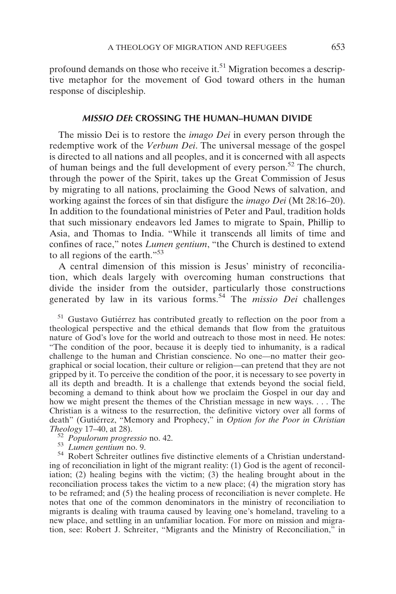profound demands on those who receive it.<sup>51</sup> Migration becomes a descriptive metaphor for the movement of God toward others in the human response of discipleship.

### MISSIO DEI: CROSSING THE HUMAN–HUMAN DIVIDE

The missio Dei is to restore the *imago Dei* in every person through the redemptive work of the Verbum Dei. The universal message of the gospel is directed to all nations and all peoples, and it is concerned with all aspects of human beings and the full development of every person.52 The church, through the power of the Spirit, takes up the Great Commission of Jesus by migrating to all nations, proclaiming the Good News of salvation, and working against the forces of sin that disfigure the *imago Dei* (Mt 28:16–20). In addition to the foundational ministries of Peter and Paul, tradition holds that such missionary endeavors led James to migrate to Spain, Phillip to Asia, and Thomas to India. "While it transcends all limits of time and confines of race," notes Lumen gentium, "the Church is destined to extend to all regions of the earth."<sup>53</sup>

A central dimension of this mission is Jesus' ministry of reconciliation, which deals largely with overcoming human constructions that divide the insider from the outsider, particularly those constructions generated by law in its various forms.<sup>54</sup> The *missio Dei* challenges

 $51$  Gustavo Gutiérrez has contributed greatly to reflection on the poor from a theological perspective and the ethical demands that flow from the gratuitous nature of God's love for the world and outreach to those most in need. He notes: "The condition of the poor, because it is deeply tied to inhumanity, is a radical challenge to the human and Christian conscience. No one—no matter their geographical or social location, their culture or religion—can pretend that they are not gripped by it. To perceive the condition of the poor, it is necessary to see poverty in all its depth and breadth. It is a challenge that extends beyond the social field, becoming a demand to think about how we proclaim the Gospel in our day and how we might present the themes of the Christian message in new ways. . . . The Christian is a witness to the resurrection, the definitive victory over all forms of death" (Gutiérrez, "Memory and Prophecy," in *Option for the Poor in Christian Theology* 17–40, at 28).

 $52$  Populorum progressio no. 42.<br>  $53$  Lumen gentium no. 9.<br>  $54$  Robert Schreiter outlines five distinctive elements of a Christian understanding of reconciliation in light of the migrant reality: (1) God is the agent of reconciliation; (2) healing begins with the victim; (3) the healing brought about in the reconciliation process takes the victim to a new place; (4) the migration story has to be reframed; and (5) the healing process of reconciliation is never complete. He notes that one of the common denominators in the ministry of reconciliation to migrants is dealing with trauma caused by leaving one's homeland, traveling to a new place, and settling in an unfamiliar location. For more on mission and migration, see: Robert J. Schreiter, "Migrants and the Ministry of Reconciliation," in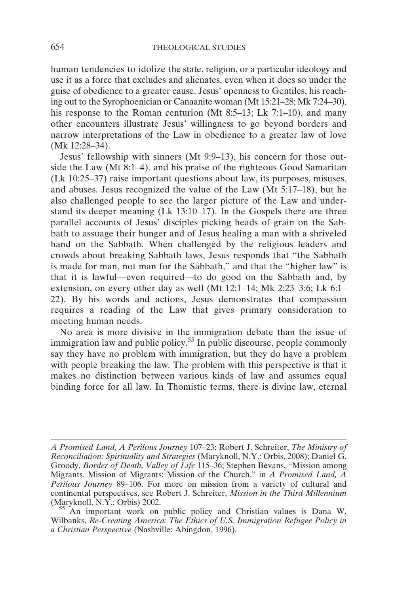human tendencies to idolize the state, religion, or a particular ideology and use it as a force that excludes and alienates, even when it does so under the guise of obedience to a greater cause. Jesus' openness to Gentiles, his reaching out to the Syrophoenician or Canaanite woman (Mt 15:21–28; Mk 7:24–30), his response to the Roman centurion (Mt 8:5–13; Lk 7:1–10), and many other encounters illustrate Jesus' willingness to go beyond borders and narrow interpretations of the Law in obedience to a greater law of love (Mk 12:28–34).

Jesus' fellowship with sinners (Mt 9:9–13), his concern for those outside the Law (Mt  $\overline{8:1-4}$ ), and his praise of the righteous Good Samaritan (Lk 10:25–37) raise important questions about law, its purposes, misuses, and abuses. Jesus recognized the value of the Law (Mt 5:17–18), but he also challenged people to see the larger picture of the Law and understand its deeper meaning (Lk 13:10–17). In the Gospels there are three parallel accounts of Jesus' disciples picking heads of grain on the Sabbath to assuage their hunger and of Jesus healing a man with a shriveled hand on the Sabbath. When challenged by the religious leaders and crowds about breaking Sabbath laws, Jesus responds that "the Sabbath is made for man, not man for the Sabbath," and that the "higher law" is that it is lawful—even required—to do good on the Sabbath and, by extension, on every other day as well (Mt 12:1–14; Mk 2:23–3:6; Lk 6:1– 22). By his words and actions, Jesus demonstrates that compassion requires a reading of the Law that gives primary consideration to meeting human needs.

No area is more divisive in the immigration debate than the issue of immigration law and public policy.<sup>55</sup> In public discourse, people commonly say they have no problem with immigration, but they do have a problem with people breaking the law. The problem with this perspective is that it makes no distinction between various kinds of law and assumes equal binding force for all law. In Thomistic terms, there is divine law, eternal

A Promised Land, A Perilous Journey 107–23; Robert J. Schreiter, The Ministry of Reconciliation: Spirituality and Strategies (Maryknoll, N.Y.: Orbis, 2008); Daniel G. Groody, Border of Death, Valley of Life 115–36; Stephen Bevans, "Mission among Migrants, Mission of Migrants: Mission of the Church," in A Promised Land, A Perilous Journey 89–106. For more on mission from a variety of cultural and continental perspectives, see Robert J. Schreiter, *Mission in the Third Millennium* (Maryknoll, N.Y.: Orbis) 2002.

<sup>&</sup>lt;sup>55</sup> An important work on public policy and Christian values is Dana W. Wilbanks, Re-Creating America: The Ethics of U.S. Immigration Refugee Policy in a Christian Perspective (Nashville: Abingdon, 1996).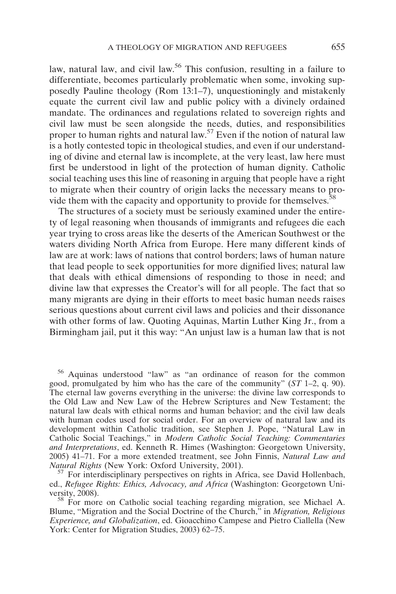law, natural law, and civil law.<sup>56</sup> This confusion, resulting in a failure to differentiate, becomes particularly problematic when some, invoking supposedly Pauline theology (Rom 13:1–7), unquestioningly and mistakenly equate the current civil law and public policy with a divinely ordained mandate. The ordinances and regulations related to sovereign rights and civil law must be seen alongside the needs, duties, and responsibilities proper to human rights and natural law.<sup>57</sup> Even if the notion of natural law is a hotly contested topic in theological studies, and even if our understanding of divine and eternal law is incomplete, at the very least, law here must first be understood in light of the protection of human dignity. Catholic social teaching uses this line of reasoning in arguing that people have a right to migrate when their country of origin lacks the necessary means to provide them with the capacity and opportunity to provide for themselves.<sup>58</sup>

The structures of a society must be seriously examined under the entirety of legal reasoning when thousands of immigrants and refugees die each year trying to cross areas like the deserts of the American Southwest or the waters dividing North Africa from Europe. Here many different kinds of law are at work: laws of nations that control borders; laws of human nature that lead people to seek opportunities for more dignified lives; natural law that deals with ethical dimensions of responding to those in need; and divine law that expresses the Creator's will for all people. The fact that so many migrants are dying in their efforts to meet basic human needs raises serious questions about current civil laws and policies and their dissonance with other forms of law. Quoting Aquinas, Martin Luther King Jr., from a Birmingham jail, put it this way: "An unjust law is a human law that is not

<sup>56</sup> Aquinas understood "law" as "an ordinance of reason for the common good, promulgated by him who has the care of the community"  $(ST 1-2, q. 90)$ . The eternal law governs everything in the universe: the divine law corresponds to the Old Law and New Law of the Hebrew Scriptures and New Testament; the natural law deals with ethical norms and human behavior; and the civil law deals with human codes used for social order. For an overview of natural law and its development within Catholic tradition, see Stephen J. Pope, "Natural Law in Catholic Social Teachings," in Modern Catholic Social Teaching: Commentaries and Interpretations, ed. Kenneth R. Himes (Washington: Georgetown University, 2005) 41–71. For a more extended treatment, see John Finnis, *Natural Law and Natural Rights* (New York: Oxford University, 2001).

 $57$  For interdisciplinary perspectives on rights in Africa, see David Hollenbach, ed., Refugee Rights: Ethics, Advocacy, and Africa (Washington: Georgetown University, 2008).<br><sup>58</sup> For more on Catholic social teaching regarding migration, see Michael A.

Blume, "Migration and the Social Doctrine of the Church," in Migration, Religious Experience, and Globalization, ed. Gioacchino Campese and Pietro Ciallella (New York: Center for Migration Studies, 2003) 62–75.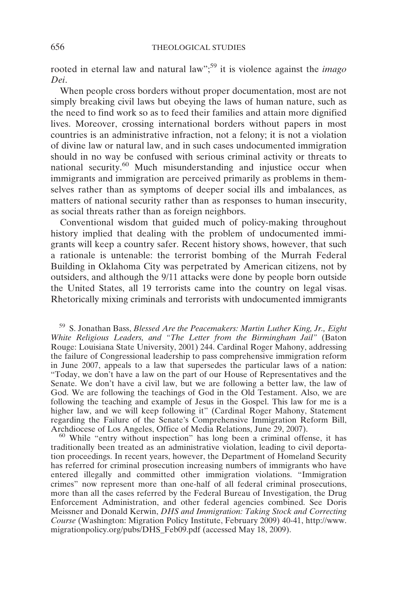rooted in eternal law and natural law";<sup>59</sup> it is violence against the *imago* Dei.

When people cross borders without proper documentation, most are not simply breaking civil laws but obeying the laws of human nature, such as the need to find work so as to feed their families and attain more dignified lives. Moreover, crossing international borders without papers in most countries is an administrative infraction, not a felony; it is not a violation of divine law or natural law, and in such cases undocumented immigration should in no way be confused with serious criminal activity or threats to national security.<sup>60</sup> Much misunderstanding and injustice occur when immigrants and immigration are perceived primarily as problems in themselves rather than as symptoms of deeper social ills and imbalances, as matters of national security rather than as responses to human insecurity, as social threats rather than as foreign neighbors.

Conventional wisdom that guided much of policy-making throughout history implied that dealing with the problem of undocumented immigrants will keep a country safer. Recent history shows, however, that such a rationale is untenable: the terrorist bombing of the Murrah Federal Building in Oklahoma City was perpetrated by American citizens, not by outsiders, and although the 9/11 attacks were done by people born outside the United States, all 19 terrorists came into the country on legal visas. Rhetorically mixing criminals and terrorists with undocumented immigrants

 $59$  S. Jonathan Bass, Blessed Are the Peacemakers: Martin Luther King, Jr., Eight White Religious Leaders, and "The Letter from the Birmingham Jail" (Baton Rouge: Louisiana State University, 2001) 244. Cardinal Roger Mahony, addressing the failure of Congressional leadership to pass comprehensive immigration reform in June 2007, appeals to a law that supersedes the particular laws of a nation: "Today, we don't have a law on the part of our House of Representatives and the Senate. We don't have a civil law, but we are following a better law, the law of God. We are following the teachings of God in the Old Testament. Also, we are following the teaching and example of Jesus in the Gospel. This law for me is a higher law, and we will keep following it" (Cardinal Roger Mahony, Statement regarding the Failure of the Senate's Comprehensive Immigration Reform Bill, Archdiocese of Los Angeles, Office of Media Relations, June 29, 2007).

 $60$  While "entry without inspection" has long been a criminal offense, it has traditionally been treated as an administrative violation, leading to civil deportation proceedings. In recent years, however, the Department of Homeland Security has referred for criminal prosecution increasing numbers of immigrants who have entered illegally and committed other immigration violations. "Immigration crimes" now represent more than one-half of all federal criminal prosecutions, more than all the cases referred by the Federal Bureau of Investigation, the Drug Enforcement Administration, and other federal agencies combined. See Doris Meissner and Donald Kerwin, DHS and Immigration: Taking Stock and Correcting Course (Washington: Migration Policy Institute, February 2009) 40-41, http://www. migrationpolicy.org/pubs/DHS\_Feb09.pdf (accessed May 18, 2009).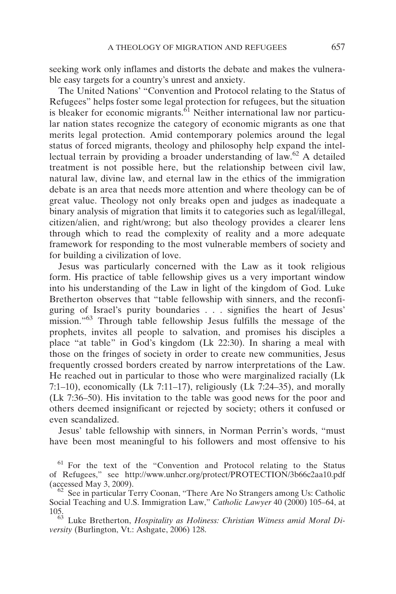seeking work only inflames and distorts the debate and makes the vulnerable easy targets for a country's unrest and anxiety.

The United Nations' "Convention and Protocol relating to the Status of Refugees" helps foster some legal protection for refugees, but the situation is bleaker for economic migrants.<sup>61</sup> Neither international law nor particular nation states recognize the category of economic migrants as one that merits legal protection. Amid contemporary polemics around the legal status of forced migrants, theology and philosophy help expand the intellectual terrain by providing a broader understanding of law. $62$  A detailed treatment is not possible here, but the relationship between civil law, natural law, divine law, and eternal law in the ethics of the immigration debate is an area that needs more attention and where theology can be of great value. Theology not only breaks open and judges as inadequate a binary analysis of migration that limits it to categories such as legal/illegal, citizen/alien, and right/wrong; but also theology provides a clearer lens through which to read the complexity of reality and a more adequate framework for responding to the most vulnerable members of society and for building a civilization of love.

Jesus was particularly concerned with the Law as it took religious form. His practice of table fellowship gives us a very important window into his understanding of the Law in light of the kingdom of God. Luke Bretherton observes that "table fellowship with sinners, and the reconfiguring of Israel's purity boundaries . . . signifies the heart of Jesus' mission."<sup>63</sup> Through table fellowship Jesus fulfills the message of the prophets, invites all people to salvation, and promises his disciples a place "at table" in God's kingdom (Lk 22:30). In sharing a meal with those on the fringes of society in order to create new communities, Jesus frequently crossed borders created by narrow interpretations of the Law. He reached out in particular to those who were marginalized racially (Lk 7:1–10), economically (Lk 7:11–17), religiously (Lk 7:24–35), and morally (Lk 7:36–50). His invitation to the table was good news for the poor and others deemed insignificant or rejected by society; others it confused or even scandalized.

Jesus' table fellowship with sinners, in Norman Perrin's words, "must have been most meaningful to his followers and most offensive to his

 $61$  For the text of the "Convention and Protocol relating to the Status of Refugees," see http://www.unhcr.org/protect/PROTECTION/3b66c2aa10.pdf (accessed May 3, 2009).  $^{62}$  See in particular Terry Coonan, "There Are No Strangers among Us: Catholic

Social Teaching and U.S. Immigration Law," Catholic Lawyer 40 (2000) 105-64, at 105.

 $63$  Luke Bretherton, Hospitality as Holiness: Christian Witness amid Moral Diversity (Burlington, Vt.: Ashgate, 2006) 128.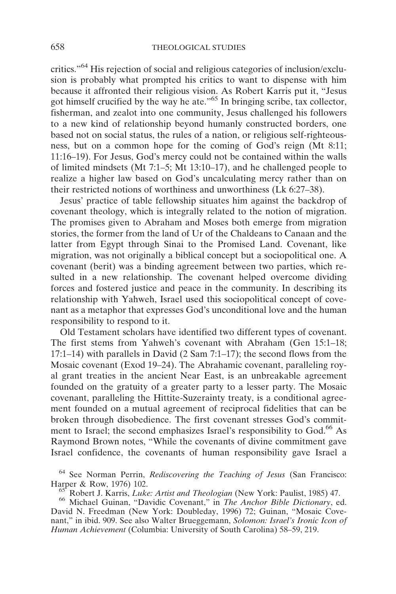critics."<sup>64</sup> His rejection of social and religious categories of inclusion/exclusion is probably what prompted his critics to want to dispense with him because it affronted their religious vision. As Robert Karris put it, "Jesus got himself crucified by the way he ate."<sup>65</sup> In bringing scribe, tax collector, fisherman, and zealot into one community, Jesus challenged his followers to a new kind of relationship beyond humanly constructed borders, one based not on social status, the rules of a nation, or religious self-righteousness, but on a common hope for the coming of God's reign (Mt 8:11; 11:16–19). For Jesus, God's mercy could not be contained within the walls of limited mindsets (Mt 7:1–5; Mt 13:10–17), and he challenged people to realize a higher law based on God's uncalculating mercy rather than on their restricted notions of worthiness and unworthiness (Lk 6:27–38).

Jesus' practice of table fellowship situates him against the backdrop of covenant theology, which is integrally related to the notion of migration. The promises given to Abraham and Moses both emerge from migration stories, the former from the land of Ur of the Chaldeans to Canaan and the latter from Egypt through Sinai to the Promised Land. Covenant, like migration, was not originally a biblical concept but a sociopolitical one. A covenant (berit) was a binding agreement between two parties, which resulted in a new relationship. The covenant helped overcome dividing forces and fostered justice and peace in the community. In describing its relationship with Yahweh, Israel used this sociopolitical concept of covenant as a metaphor that expresses God's unconditional love and the human responsibility to respond to it.

Old Testament scholars have identified two different types of covenant. The first stems from Yahweh's covenant with Abraham (Gen 15:1–18; 17:1–14) with parallels in David (2 Sam 7:1–17); the second flows from the Mosaic covenant (Exod 19–24). The Abrahamic covenant, paralleling royal grant treaties in the ancient Near East, is an unbreakable agreement founded on the gratuity of a greater party to a lesser party. The Mosaic covenant, paralleling the Hittite-Suzerainty treaty, is a conditional agreement founded on a mutual agreement of reciprocal fidelities that can be broken through disobedience. The first covenant stresses God's commitment to Israel; the second emphasizes Israel's responsibility to God.<sup>66</sup> As Raymond Brown notes, "While the covenants of divine commitment gave Israel confidence, the covenants of human responsibility gave Israel a

<sup>64</sup> See Norman Perrin, *Rediscovering the Teaching of Jesus* (San Francisco: Harper & Row, 1976) 102.

 $^{65}$  Robert J. Karris, *Luke: Artist and Theologian* (New York: Paulist, 1985) 47. <sup>66</sup> Michael Guinan, "Davidic Covenant," in *The Anchor Bible Dictionary*, ed. David N. Freedman (New York: Doubleday, 1996) 72; Guinan, "Mosaic Covenant," in ibid. 909. See also Walter Brueggemann, Solomon: Israel's Ironic Icon of Human Achievement (Columbia: University of South Carolina) 58–59, 219.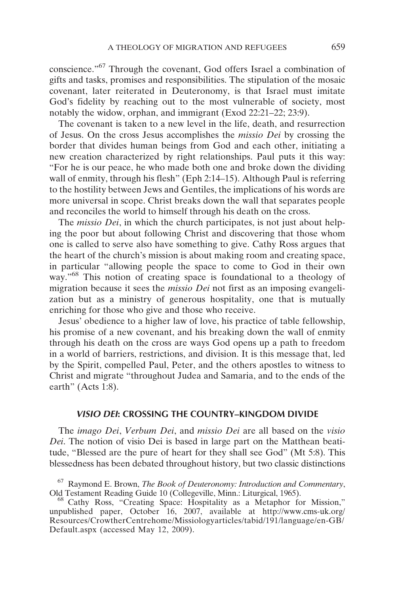conscience."<sup>67</sup> Through the covenant, God offers Israel a combination of gifts and tasks, promises and responsibilities. The stipulation of the mosaic covenant, later reiterated in Deuteronomy, is that Israel must imitate God's fidelity by reaching out to the most vulnerable of society, most notably the widow, orphan, and immigrant (Exod 22:21–22; 23:9).

The covenant is taken to a new level in the life, death, and resurrection of Jesus. On the cross Jesus accomplishes the missio Dei by crossing the border that divides human beings from God and each other, initiating a new creation characterized by right relationships. Paul puts it this way: "For he is our peace, he who made both one and broke down the dividing wall of enmity, through his flesh" (Eph 2:14-15). Although Paul is referring to the hostility between Jews and Gentiles, the implications of his words are more universal in scope. Christ breaks down the wall that separates people and reconciles the world to himself through his death on the cross.

The *missio Dei*, in which the church participates, is not just about helping the poor but about following Christ and discovering that those whom one is called to serve also have something to give. Cathy Ross argues that the heart of the church's mission is about making room and creating space, in particular "allowing people the space to come to God in their own way."<sup>68</sup> This notion of creating space is foundational to a theology of migration because it sees the missio Dei not first as an imposing evangelization but as a ministry of generous hospitality, one that is mutually enriching for those who give and those who receive.

Jesus' obedience to a higher law of love, his practice of table fellowship, his promise of a new covenant, and his breaking down the wall of enmity through his death on the cross are ways God opens up a path to freedom in a world of barriers, restrictions, and division. It is this message that, led by the Spirit, compelled Paul, Peter, and the others apostles to witness to Christ and migrate "throughout Judea and Samaria, and to the ends of the earth" (Acts 1:8).

### VISIO DEI: CROSSING THE COUNTRY–KINGDOM DIVIDE

The *imago Dei*, Verbum Dei, and missio Dei are all based on the visio Dei. The notion of visio Dei is based in large part on the Matthean beatitude, "Blessed are the pure of heart for they shall see God" (Mt 5:8). This blessedness has been debated throughout history, but two classic distinctions

<sup>&</sup>lt;sup>67</sup> Raymond E. Brown, *The Book of Deuteronomy: Introduction and Commentary*, Old Testament Reading Guide 10 (Collegeville, Minn.: Liturgical, 1965).

<sup>&</sup>lt;sup>68</sup> Cathy Ross, "Creating Space: Hospitality as a Metaphor for Mission," unpublished paper, October 16, 2007, available at http://www.cms-uk.org/ Resources/CrowtherCentrehome/Missiologyarticles/tabid/191/language/en-GB/ Default.aspx (accessed May 12, 2009).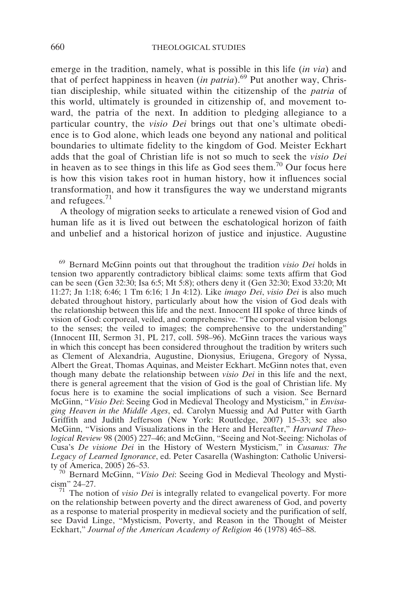emerge in the tradition, namely, what is possible in this life *(in via)* and that of perfect happiness in heaven (in patria).<sup>69</sup> Put another way, Christian discipleship, while situated within the citizenship of the patria of this world, ultimately is grounded in citizenship of, and movement toward, the patria of the next. In addition to pledging allegiance to a particular country, the visio Dei brings out that one's ultimate obedience is to God alone, which leads one beyond any national and political boundaries to ultimate fidelity to the kingdom of God. Meister Eckhart adds that the goal of Christian life is not so much to seek the visio Dei in heaven as to see things in this life as God sees them.<sup>70</sup> Our focus here is how this vision takes root in human history, how it influences social transformation, and how it transfigures the way we understand migrants and refugees.<sup>71</sup>

A theology of migration seeks to articulate a renewed vision of God and human life as it is lived out between the eschatological horizon of faith and unbelief and a historical horizon of justice and injustice. Augustine

 $69$  Bernard McGinn points out that throughout the tradition visio Dei holds in tension two apparently contradictory biblical claims: some texts affirm that God can be seen (Gen 32:30; Isa 6:5; Mt 5:8); others deny it (Gen 32:30; Exod 33:20; Mt 11:27; Jn 1:18; 6:46; 1 Tm 6:16; 1 Jn 4:12). Like imago Dei, visio Dei is also much debated throughout history, particularly about how the vision of God deals with the relationship between this life and the next. Innocent III spoke of three kinds of vision of God: corporeal, veiled, and comprehensive. "The corporeal vision belongs to the senses; the veiled to images; the comprehensive to the understanding" (Innocent III, Sermon 31, PL 217, coll. 598–96). McGinn traces the various ways in which this concept has been considered throughout the tradition by writers such as Clement of Alexandria, Augustine, Dionysius, Eriugena, Gregory of Nyssa, Albert the Great, Thomas Aquinas, and Meister Eckhart. McGinn notes that, even though many debate the relationship between visio Dei in this life and the next, there is general agreement that the vision of God is the goal of Christian life. My focus here is to examine the social implications of such a vision. See Bernard McGinn, "Visio Dei: Seeing God in Medieval Theology and Mysticism," in Envisaging Heaven in the Middle Ages, ed. Carolyn Muessig and Ad Putter with Garth Griffith and Judith Jefferson (New York: Routledge, 2007) 15–33; see also McGinn, "Visions and Visualizations in the Here and Hereafter," Harvard Theological Review 98 (2005) 227–46; and McGinn, "Seeing and Not-Seeing: Nicholas of Cusa's De visione Dei in the History of Western Mysticism," in Cusanus: The Legacy of Learned Ignorance, ed. Peter Casarella (Washington: Catholic University of America, 2005) 26–53.

<sup>70</sup> Bernard McGinn, "Visio Dei: Seeing God in Medieval Theology and Mysticism" 24–27.<br><sup>71</sup> The notion of *visio Dei* is integrally related to evangelical poverty. For more

on the relationship between poverty and the direct awareness of God, and poverty as a response to material prosperity in medieval society and the purification of self, see David Linge, "Mysticism, Poverty, and Reason in the Thought of Meister Eckhart," Journal of the American Academy of Religion 46 (1978) 465–88.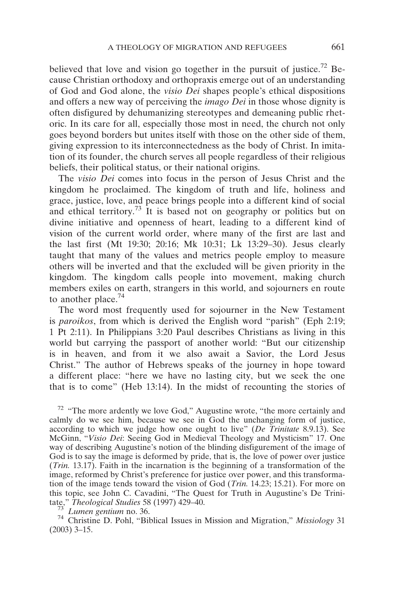believed that love and vision go together in the pursuit of justice.<sup>72</sup> Because Christian orthodoxy and orthopraxis emerge out of an understanding of God and God alone, the visio Dei shapes people's ethical dispositions and offers a new way of perceiving the imago Dei in those whose dignity is often disfigured by dehumanizing stereotypes and demeaning public rhetoric. In its care for all, especially those most in need, the church not only goes beyond borders but unites itself with those on the other side of them, giving expression to its interconnectedness as the body of Christ. In imitation of its founder, the church serves all people regardless of their religious beliefs, their political status, or their national origins.

The visio Dei comes into focus in the person of Jesus Christ and the kingdom he proclaimed. The kingdom of truth and life, holiness and grace, justice, love, and peace brings people into a different kind of social and ethical territory.<sup>73</sup> It is based not on geography or politics but on divine initiative and openness of heart, leading to a different kind of vision of the current world order, where many of the first are last and the last first (Mt 19:30; 20:16; Mk 10:31; Lk 13:29–30). Jesus clearly taught that many of the values and metrics people employ to measure others will be inverted and that the excluded will be given priority in the kingdom. The kingdom calls people into movement, making church members exiles on earth, strangers in this world, and sojourners en route to another place. $74$ 

The word most frequently used for sojourner in the New Testament is paroikos, from which is derived the English word "parish" (Eph 2:19; 1 Pt 2:11). In Philippians 3:20 Paul describes Christians as living in this world but carrying the passport of another world: "But our citizenship is in heaven, and from it we also await a Savior, the Lord Jesus Christ." The author of Hebrews speaks of the journey in hope toward a different place: "here we have no lasting city, but we seek the one that is to come" (Heb 13:14). In the midst of recounting the stories of

 $72$  "The more ardently we love God," Augustine wrote, "the more certainly and calmly do we see him, because we see in God the unchanging form of justice, according to which we judge how one ought to live" (De Trinitate 8.9.13). See McGinn, "Visio Dei: Seeing God in Medieval Theology and Mysticism" 17. One way of describing Augustine's notion of the blinding disfigurement of the image of God is to say the image is deformed by pride, that is, the love of power over justice (Trin. 13.17). Faith in the incarnation is the beginning of a transformation of the image, reformed by Christ's preference for justice over power, and this transformation of the image tends toward the vision of God (Trin. 14.23; 15.21). For more on this topic, see John C. Cavadini, "The Quest for Truth in Augustine's De Trinitate," *Theological Studies* 58 (1997) 429–40.

 $\frac{1}{73}$  Lumen gentium no. 36.  $\frac{1}{74}$  Christine D. Pohl, "Biblical Issues in Mission and Migration," *Missiology* 31 (2003) 3–15.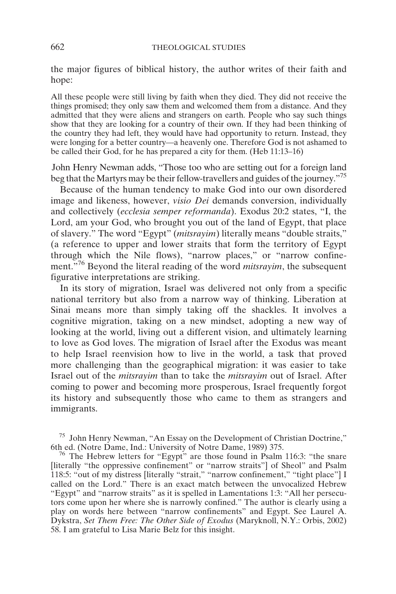the major figures of biblical history, the author writes of their faith and hope:

All these people were still living by faith when they died. They did not receive the things promised; they only saw them and welcomed them from a distance. And they admitted that they were aliens and strangers on earth. People who say such things show that they are looking for a country of their own. If they had been thinking of the country they had left, they would have had opportunity to return. Instead, they were longing for a better country—a heavenly one. Therefore God is not ashamed to be called their God, for he has prepared a city for them. (Heb 11:13–16)

John Henry Newman adds, "Those too who are setting out for a foreign land beg that the Martyrs may be their fellow-travellers and guides of the journey."75

Because of the human tendency to make God into our own disordered image and likeness, however, visio Dei demands conversion, individually and collectively (ecclesia semper reformanda). Exodus 20:2 states, "I, the Lord, am your God, who brought you out of the land of Egypt, that place of slavery." The word "Egypt" (mitsrayim) literally means "double straits," (a reference to upper and lower straits that form the territory of Egypt through which the Nile flows), "narrow places," or "narrow confinement."<sup>76</sup> Beyond the literal reading of the word *mitsrayim*, the subsequent figurative interpretations are striking.

In its story of migration, Israel was delivered not only from a specific national territory but also from a narrow way of thinking. Liberation at Sinai means more than simply taking off the shackles. It involves a cognitive migration, taking on a new mindset, adopting a new way of looking at the world, living out a different vision, and ultimately learning to love as God loves. The migration of Israel after the Exodus was meant to help Israel reenvision how to live in the world, a task that proved more challenging than the geographical migration: it was easier to take Israel out of the mitsrayim than to take the mitsrayim out of Israel. After coming to power and becoming more prosperous, Israel frequently forgot its history and subsequently those who came to them as strangers and immigrants.

<sup>75</sup> John Henry Newman, "An Essay on the Development of Christian Doctrine," 6th ed. (Notre Dame. Ind.: University of Notre Dame. 1989) 375.

<sup>76</sup> The Hebrew letters for "Egypt" are those found in Psalm 116:3: "the snare [literally "the oppressive confinement" or "narrow straits"] of Sheol" and Psalm 118:5: "out of my distress [literally "strait," "narrow confinement," "tight place"] I called on the Lord." There is an exact match between the unvocalized Hebrew "Egypt" and "narrow straits" as it is spelled in Lamentations 1:3: "All her persecutors come upon her where she is narrowly confined." The author is clearly using a play on words here between "narrow confinements" and Egypt. See Laurel A. Dykstra, Set Them Free: The Other Side of Exodus (Maryknoll, N.Y.: Orbis, 2002) 58. I am grateful to Lisa Marie Belz for this insight.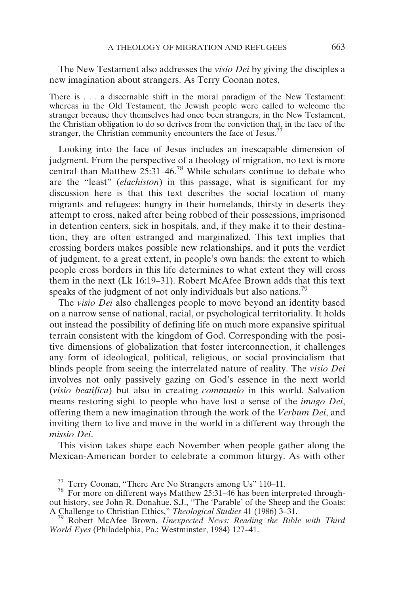The New Testament also addresses the *visio Dei* by giving the disciples a new imagination about strangers. As Terry Coonan notes,

There is . . . a discernable shift in the moral paradigm of the New Testament: whereas in the Old Testament, the Jewish people were called to welcome the stranger because they themselves had once been strangers, in the New Testament, the Christian obligation to do so derives from the conviction that, in the face of the stranger, the Christian community encounters the face of Jesus.<sup>7</sup>

Looking into the face of Jesus includes an inescapable dimension of judgment. From the perspective of a theology of migration, no text is more central than Matthew  $25:31-46.^{78}$  While scholars continue to debate who are the "least" (elachiston) in this passage, what is significant for my discussion here is that this text describes the social location of many migrants and refugees: hungry in their homelands, thirsty in deserts they attempt to cross, naked after being robbed of their possessions, imprisoned in detention centers, sick in hospitals, and, if they make it to their destination, they are often estranged and marginalized. This text implies that crossing borders makes possible new relationships, and it puts the verdict of judgment, to a great extent, in people's own hands: the extent to which people cross borders in this life determines to what extent they will cross them in the next (Lk 16:19–31). Robert McAfee Brown adds that this text speaks of the judgment of not only individuals but also nations.<sup>79</sup>

The *visio Dei* also challenges people to move beyond an identity based on a narrow sense of national, racial, or psychological territoriality. It holds out instead the possibility of defining life on much more expansive spiritual terrain consistent with the kingdom of God. Corresponding with the positive dimensions of globalization that foster interconnection, it challenges any form of ideological, political, religious, or social provincialism that blinds people from seeing the interrelated nature of reality. The visio Dei involves not only passively gazing on God's essence in the next world (visio beatifica) but also in creating communio in this world. Salvation means restoring sight to people who have lost a sense of the imago Dei, offering them a new imagination through the work of the Verbum Dei, and inviting them to live and move in the world in a different way through the missio Dei.

This vision takes shape each November when people gather along the Mexican-American border to celebrate a common liturgy. As with other

<sup>&</sup>lt;sup>77</sup> Terry Coonan, "There Are No Strangers among Us"  $110-11$ .<br><sup>78</sup> For more on different ways Matthew 25:31–46 has been interpreted throughout history, see John R. Donahue, S.J., "The 'Parable' of the Sheep and the Goats: A Challenge to Christian Ethics," Theological Studies 41 (1986) 3–31.

 $79$  Robert McAfee Brown, Unexpected News: Reading the Bible with Third World Eyes (Philadelphia, Pa.: Westminster, 1984) 127–41.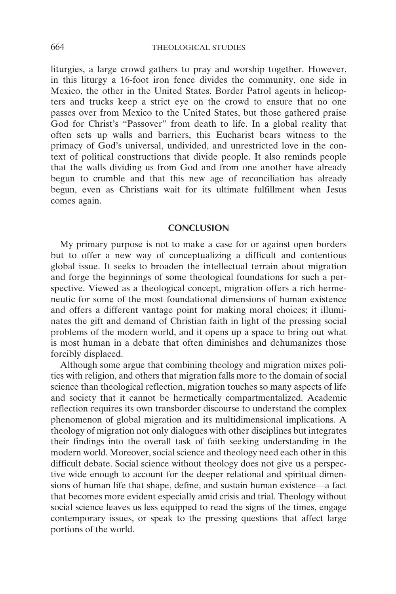liturgies, a large crowd gathers to pray and worship together. However, in this liturgy a 16-foot iron fence divides the community, one side in Mexico, the other in the United States. Border Patrol agents in helicopters and trucks keep a strict eye on the crowd to ensure that no one passes over from Mexico to the United States, but those gathered praise God for Christ's "Passover" from death to life. In a global reality that often sets up walls and barriers, this Eucharist bears witness to the primacy of God's universal, undivided, and unrestricted love in the context of political constructions that divide people. It also reminds people that the walls dividing us from God and from one another have already begun to crumble and that this new age of reconciliation has already begun, even as Christians wait for its ultimate fulfillment when Jesus comes again.

### **CONCLUSION**

My primary purpose is not to make a case for or against open borders but to offer a new way of conceptualizing a difficult and contentious global issue. It seeks to broaden the intellectual terrain about migration and forge the beginnings of some theological foundations for such a perspective. Viewed as a theological concept, migration offers a rich hermeneutic for some of the most foundational dimensions of human existence and offers a different vantage point for making moral choices; it illuminates the gift and demand of Christian faith in light of the pressing social problems of the modern world, and it opens up a space to bring out what is most human in a debate that often diminishes and dehumanizes those forcibly displaced.

Although some argue that combining theology and migration mixes politics with religion, and others that migration falls more to the domain of social science than theological reflection, migration touches so many aspects of life and society that it cannot be hermetically compartmentalized. Academic reflection requires its own transborder discourse to understand the complex phenomenon of global migration and its multidimensional implications. A theology of migration not only dialogues with other disciplines but integrates their findings into the overall task of faith seeking understanding in the modern world. Moreover, social science and theology need each other in this difficult debate. Social science without theology does not give us a perspective wide enough to account for the deeper relational and spiritual dimensions of human life that shape, define, and sustain human existence—a fact that becomes more evident especially amid crisis and trial. Theology without social science leaves us less equipped to read the signs of the times, engage contemporary issues, or speak to the pressing questions that affect large portions of the world.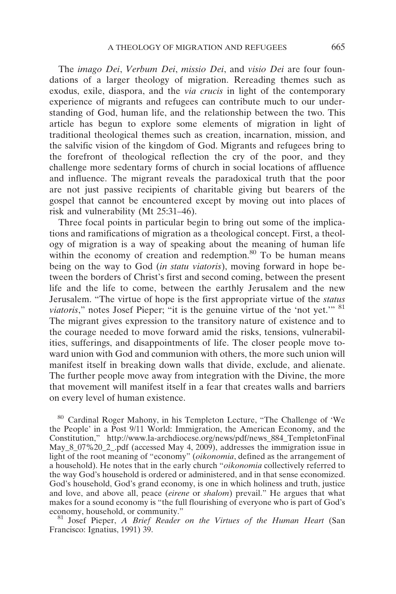The *imago Dei, Verbum Dei, missio Dei*, and *visio Dei* are four foundations of a larger theology of migration. Rereading themes such as exodus, exile, diaspora, and the via crucis in light of the contemporary experience of migrants and refugees can contribute much to our understanding of God, human life, and the relationship between the two. This article has begun to explore some elements of migration in light of traditional theological themes such as creation, incarnation, mission, and the salvific vision of the kingdom of God. Migrants and refugees bring to the forefront of theological reflection the cry of the poor, and they challenge more sedentary forms of church in social locations of affluence and influence. The migrant reveals the paradoxical truth that the poor are not just passive recipients of charitable giving but bearers of the gospel that cannot be encountered except by moving out into places of risk and vulnerability (Mt 25:31–46).

Three focal points in particular begin to bring out some of the implications and ramifications of migration as a theological concept. First, a theology of migration is a way of speaking about the meaning of human life within the economy of creation and redemption.<sup>80</sup> To be human means being on the way to God (in statu viatoris), moving forward in hope between the borders of Christ's first and second coming, between the present life and the life to come, between the earthly Jerusalem and the new Jerusalem. "The virtue of hope is the first appropriate virtue of the status viatoris," notes Josef Pieper; "it is the genuine virtue of the 'not yet."<sup>81</sup> The migrant gives expression to the transitory nature of existence and to the courage needed to move forward amid the risks, tensions, vulnerabilities, sufferings, and disappointments of life. The closer people move toward union with God and communion with others, the more such union will manifest itself in breaking down walls that divide, exclude, and alienate. The further people move away from integration with the Divine, the more that movement will manifest itself in a fear that creates walls and barriers on every level of human existence.

Cardinal Roger Mahony, in his Templeton Lecture, "The Challenge of 'We the People' in a Post 9/11 World: Immigration, the American Economy, and the Constitution," http://www.la-archdiocese.org/news/pdf/news\_884\_TempletonFinal May\_8\_07%20\_2\_.pdf (accessed May 4, 2009), addresses the immigration issue in light of the root meaning of "economy" *(oikonomia*, defined as the arrangement of a household). He notes that in the early church "oikonomia collectively referred to the way God's household is ordered or administered, and in that sense economized. God's household, God's grand economy, is one in which holiness and truth, justice and love, and above all, peace (eirene or shalom) prevail." He argues that what makes for a sound economy is "the full flourishing of everyone who is part of God's economy, household, or community."

 $81$  Josef Pieper, A Brief Reader on the Virtues of the Human Heart (San Francisco: Ignatius, 1991) 39.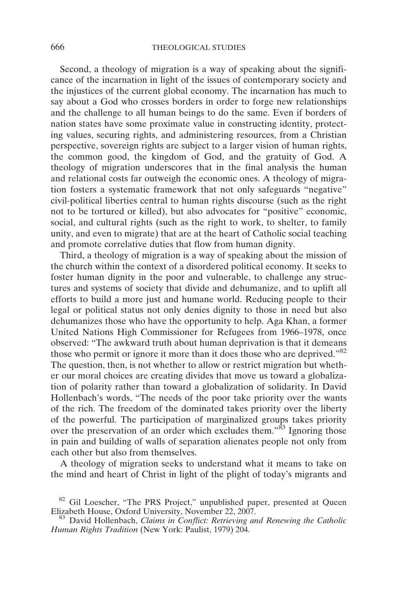Second, a theology of migration is a way of speaking about the significance of the incarnation in light of the issues of contemporary society and the injustices of the current global economy. The incarnation has much to say about a God who crosses borders in order to forge new relationships and the challenge to all human beings to do the same. Even if borders of nation states have some proximate value in constructing identity, protecting values, securing rights, and administering resources, from a Christian perspective, sovereign rights are subject to a larger vision of human rights, the common good, the kingdom of God, and the gratuity of God. A theology of migration underscores that in the final analysis the human and relational costs far outweigh the economic ones. A theology of migration fosters a systematic framework that not only safeguards "negative" civil-political liberties central to human rights discourse (such as the right not to be tortured or killed), but also advocates for "positive" economic, social, and cultural rights (such as the right to work, to shelter, to family unity, and even to migrate) that are at the heart of Catholic social teaching and promote correlative duties that flow from human dignity.

Third, a theology of migration is a way of speaking about the mission of the church within the context of a disordered political economy. It seeks to foster human dignity in the poor and vulnerable, to challenge any structures and systems of society that divide and dehumanize, and to uplift all efforts to build a more just and humane world. Reducing people to their legal or political status not only denies dignity to those in need but also dehumanizes those who have the opportunity to help. Aga Khan, a former United Nations High Commissioner for Refugees from 1966–1978, once observed: "The awkward truth about human deprivation is that it demeans those who permit or ignore it more than it does those who are deprived."<sup>82</sup> The question, then, is not whether to allow or restrict migration but whether our moral choices are creating divides that move us toward a globalization of polarity rather than toward a globalization of solidarity. In David Hollenbach's words, "The needs of the poor take priority over the wants of the rich. The freedom of the dominated takes priority over the liberty of the powerful. The participation of marginalized groups takes priority over the preservation of an order which excludes them."<sup>83</sup> Ignoring those in pain and building of walls of separation alienates people not only from each other but also from themselves.

A theology of migration seeks to understand what it means to take on the mind and heart of Christ in light of the plight of today's migrants and

 $82$  Gil Loescher, "The PRS Project," unpublished paper, presented at Queen Elizabeth House, Oxford University, November 22, 2007.

 $^{83}$  David Hollenbach, Claims in Conflict: Retrieving and Renewing the Catholic Human Rights Tradition (New York: Paulist, 1979) 204.